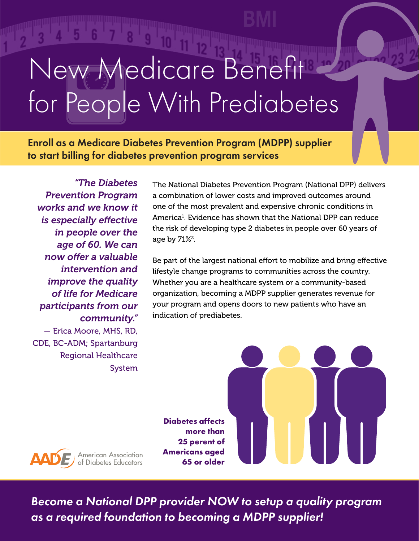# Vew Medicare Benefit People With Prediabetes for People With PrediabetesNew Medicare Benefit

Enroll as a Medicare Diabetes Prevention Program (MDPP) supplier Enroll as a Medicare Diabetes Prevention Program (MDPP) supplier<br>to start billing for diabetes prevention program services to start billing for diabetes prevention program services

*"The Diabetes Prevention Program works and we know it is especially effective in people over the age of 60. We can now offer a valuable intervention and improve the quality of life for Medicare participants from our community."*  — Erica Moore, MHS, RD, CDE, BC-ADM; Spartanburg Regional Healthcare System

**AADE** American Association

The National Diabetes Prevention Program (National DPP) delivers a combination of lower costs and improved outcomes around one of the most prevalent and expensive chronic conditions in America<sup>1</sup>. Evidence has shown that the National DPP can reduce the risk of developing type 2 diabetes in people over 60 years of age by  $71\%$ <sup>2</sup>.

Be part of the largest national effort to mobilize and bring effective lifestyle change programs to communities across the country. Whether you are a healthcare system or a community-based organization, becoming a MDPP supplier generates revenue for your program and opens doors to new patients who have an indication of prediabetes.

**Diabetes affects more than 25 perent of Americans aged 65 or older**

*Become a National DPP provider NOW to setup a quality program as a required foundation to becoming a MDPP supplier!*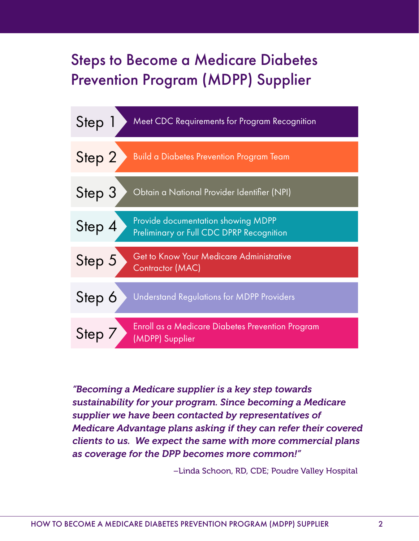### Steps to Become a Medicare Diabetes Prevention Program (MDPP) Supplier



*"Becoming a Medicare supplier is a key step towards sustainability for your program. Since becoming a Medicare supplier we have been contacted by representatives of Medicare Advantage plans asking if they can refer their covered clients to us. We expect the same with more commercial plans as coverage for the DPP becomes more common!"*

–Linda Schoon, RD, CDE; Poudre Valley Hospital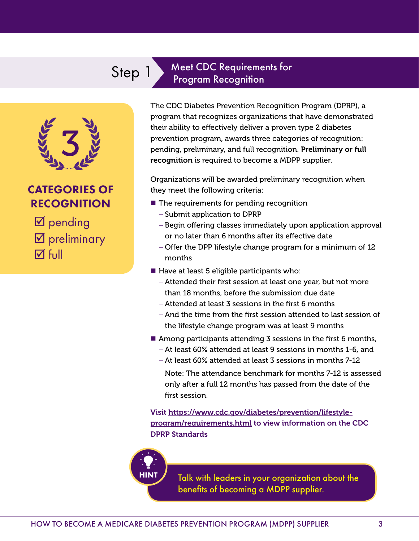# Step 1 Meet CDC Requirements for

# 3

#### CATEGORIES OF RECOGNITION

 $\boxtimes$  pending **Ø** preliminary **M** full

The CDC Diabetes Prevention Recognition Program (DPRP), a program that recognizes organizations that have demonstrated their ability to effectively deliver a proven type 2 diabetes prevention program, awards three categories of recognition: pending, preliminary, and full recognition. Preliminary or full recognition is required to become a MDPP supplier.

Organizations will be awarded preliminary recognition when they meet the following criteria:

 $\blacksquare$  The requirements for pending recognition

Program Recognition

- Submit application to DPRP
- Begin offering classes immediately upon application approval or no later than 6 months after its effective date
- Offer the DPP lifestyle change program for a minimum of 12 months
- $\blacksquare$  Have at least 5 eligible participants who:
	- Attended their first session at least one year, but not more than 18 months, before the submission due date
	- Attended at least 3 sessions in the first 6 months
	- And the time from the first session attended to last session of the lifestyle change program was at least 9 months
- Among participants attending  $\overline{3}$  sessions in the first 6 months,
	- At least 60% attended at least 9 sessions in months 1-6, and
	- At least 60% attended at least 3 sessions in months 7-12
	- Note: The attendance benchmark for months 7-12 is assessed only after a full 12 months has passed from the date of the first session.

Visit https://www.cdc.gov/diabetes/prevention/lifestyleprogram/requirements.html to view information on the CDC DPRP Standards



Talk with leaders in your organization about the benefits of becoming a MDPP supplier.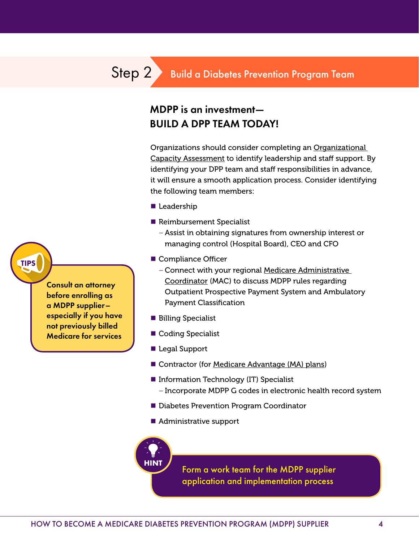#### MDPP is an investment— BUILD A DPP TEAM TODAY!

Organizations should consider completing an Organizational Capacity Assessment to identify leadership and staff support. By identifying your DPP team and staff responsibilities in advance, it will ensure a smooth application process. Consider identifying the following team members:

- Leadership
- Reimbursement Specialist
	- Assist in obtaining signatures from ownership interest or managing control (Hospital Board), CEO and CFO
- Compliance Officer
	- Connect with your regional Medicare Administrative Coordinator (MAC) to discuss MDPP rules regarding Outpatient Prospective Payment System and Ambulatory Payment Classification
- **Billing Specialist**
- Coding Specialist
- Legal Support
- Contractor (for Medicare Advantage (MA) plans)
- **Information Technology (IT) Specialist** – Incorporate MDPP G codes in electronic health record system
- Diabetes Prevention Program Coordinator
- Administrative support



Form a work team for the MDPP supplier application and implementation process

TIPS

Consult an attorney before enrolling as a MDPP supplier– especially if you have not previously billed Medicare for services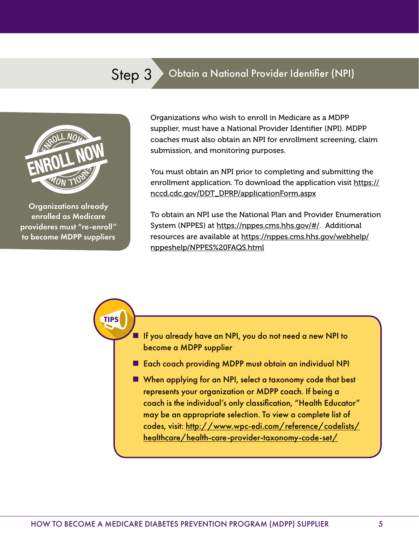#### Step 3 Obtain a National Provider Identifier (NPI)



Organizations already enrolled as Medicare provideres must "re-enroll" to become MDPP suppliers

TIPS

Organizations who wish to enroll in Medicare as a MDPP supplier, must have a National Provider Identifier (NPI). MDPP coaches must also obtain an NPI for enrollment screening, claim submission, and monitoring purposes.

You must obtain an NPI prior to completing and submitting the enrollment application. To download the application visit https:// nccd.cdc.gov/DDT\_DPRP/applicationForm.aspx

To obtain an NPI use the National Plan and Provider Enumeration System (NPPES) at https://nppes.cms.hhs.gov/#/. Additional resources are available at https://nppes.cms.hhs.gov/webhelp/ nppeshelp/NPPES%20FAQS.html

 If you already have an NPI, you do not need a new NPI to become a MDPP supplier

■ Each coach providing MDPP must obtain an individual NPI

When applying for an NPI, select a taxonomy code that best represents your organization or MDPP coach. If being a coach is the individual's only classification, "Health Educator" may be an appropriate selection. To view a complete list of codes, visit: http://www.wpc-edi.com/reference/codelists/ healthcare/health-care-provider-taxonomy-code-set/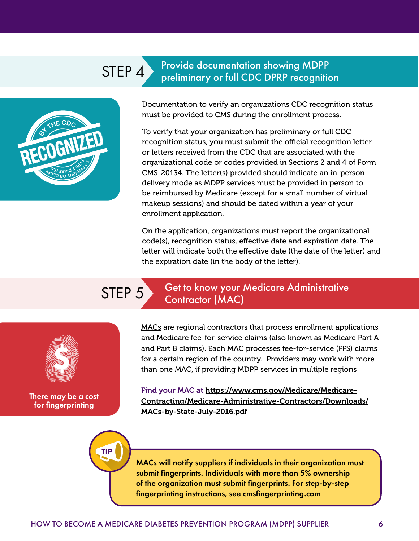## STEP 4 Provide documentation showing MDPP



Documentation to verify an organizations CDC recognition status must be provided to CMS during the enrollment process.

preliminary or full CDC DPRP recognition

To verify that your organization has preliminary or full CDC recognition status, you must submit the official recognition letter or letters received from the CDC that are associated with the organizational code or codes provided in Sections 2 and 4 of Form CMS-20134. The letter(s) provided should indicate an in-person delivery mode as MDPP services must be provided in person to be reimbursed by Medicare (except for a small number of virtual makeup sessions) and should be dated within a year of your enrollment application.

On the application, organizations must report the organizational code(s), recognition status, effective date and expiration date. The letter will indicate both the effective date (the date of the letter) and the expiration date (in the body of the letter).

TIP

#### STEP 5 Get to know your Medicare Administrative Contractor (MAC)

\$

There may be a cost for fingerprinting

MACs are regional contractors that process enrollment applications and Medicare fee-for-service claims (also known as Medicare Part A and Part B claims). Each MAC processes fee-for-service (FFS) claims for a certain region of the country. Providers may work with more than one MAC, if providing MDPP services in multiple regions

Find your MAC at https://www.cms.gov/Medicare/Medicare-Contracting/Medicare-Administrative-Contractors/Downloads/ MACs-by-State-July-2016.pdf

MACs will notify suppliers if individuals in their organization must submit fingerprints. Individuals with more than 5% ownership of the organization must submit fingerprints. For step-by-step fingerprinting instructions, see cmsfingerprinting.com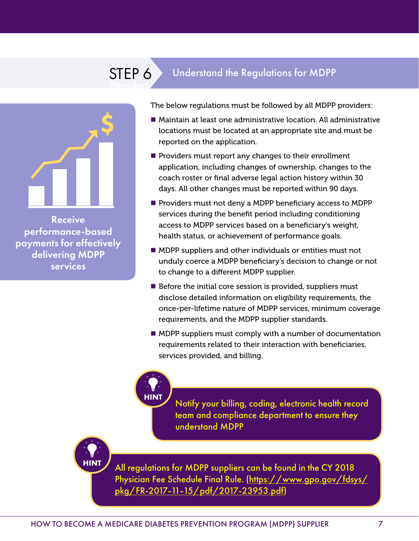# STEP 6 Understand the Regulations for MDPP

# \$

Receive performance-based payments for effectively delivering MDPP services

**HINT**

The below regulations must be followed by all MDPP providers:

- Maintain at least one administrative location. All administrative locations must be located at an appropriate site and must be reported on the application.
- $\blacksquare$  Providers must report any changes to their enrollment application, including changes of ownership, changes to the coach roster or final adverse legal action history within 30 days. All other changes must be reported within 90 days.
- **Providers must not deny a MDPP beneficiary access to MDPP** services during the benefit period including conditioning access to MDPP services based on a beneficiary's weight, health status, or achievement of performance goals.
- **MDPP** suppliers and other individuals or entities must not unduly coerce a MDPP beneficiary's decision to change or not to change to a different MDPP supplier.
- $\blacksquare$  Before the initial core session is provided, suppliers must disclose detailed information on eligibility requirements, the once-per-lifetime nature of MDPP services, minimum coverage requirements, and the MDPP supplier standards.
- **MDPP** suppliers must comply with a number of documentation requirements related to their interaction with beneficiaries, services provided, and billing.

**HINT**

Notify your billing, coding, electronic health record team and compliance department to ensure they understand MDPP

All regulations for MDPP suppliers can be found in the CY 2018 Physician Fee Schedule Final Rule. (https://www.gpo.gov/fdsys/ pkg/FR-2017-11-15/pdf/2017-23953.pdf)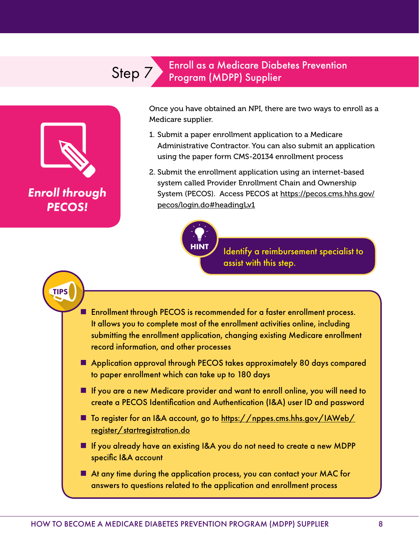#### Step 7 Enroll as a Medicare Diabetes Prevention<br>
Program (MDPP) Supplier Program (MDPP) Supplier



Once you have obtained an NPI, there are two ways to enroll as a Medicare supplier.

- 1. Submit a paper enrollment application to a Medicare Administrative Contractor. You can also submit an application using the paper form CMS-20134 enrollment process
- 2. Submit the enrollment application using an internet-based system called Provider Enrollment Chain and Ownership System (PECOS). Access PECOS at https://pecos.cms.hhs.gov/ pecos/login.do#headingLv1



Identify a reimbursement specialist to assist with this step.

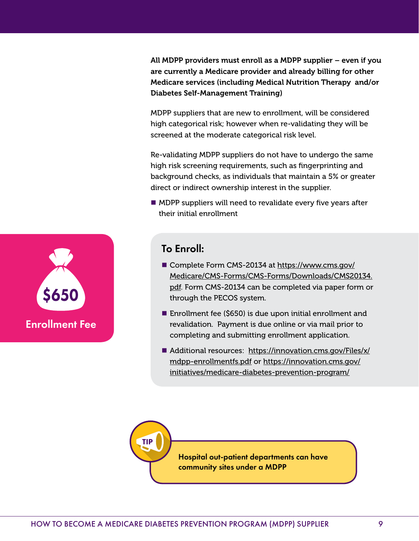All MDPP providers must enroll as a MDPP supplier – even if you are currently a Medicare provider and already billing for other Medicare services (including Medical Nutrition Therapy and/or Diabetes Self-Management Training)

MDPP suppliers that are new to enrollment, will be considered high categorical risk; however when re-validating they will be screened at the moderate categorical risk level.

Re-validating MDPP suppliers do not have to undergo the same high risk screening requirements, such as fingerprinting and background checks, as individuals that maintain a 5% or greater direct or indirect ownership interest in the supplier.

**MDPP** suppliers will need to revalidate every five years after their initial enrollment



#### To Enroll:

- Complete Form CMS-20134 at https://www.cms.gov/ Medicare/CMS-Forms/CMS-Forms/Downloads/CMS20134. pdf. Form CMS-20134 can be completed via paper form or through the PECOS system.
- Enrollment fee (\$650) is due upon initial enrollment and revalidation. Payment is due online or via mail prior to completing and submitting enrollment application.
- Additional resources: https://innovation.cms.gov/Files/x/ mdpp-enrollmentfs.pdf or https://innovation.cms.gov/ initiatives/medicare-diabetes-prevention-program/



Hospital out-patient departments can have community sites under a MDPP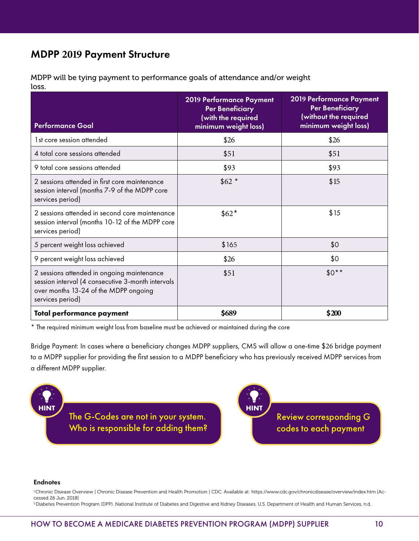#### MDPP **2019** Payment Structure

MDPP will be tying payment to performance goals of attendance and/or weight loss.

| <b>Performance Goal</b>                                                                                                                                      | 2019 Performance Payment<br><b>Per Beneficiary</b><br>(with the required<br>minimum weight loss) | 2019 Performance Payment<br><b>Per Beneficiary</b><br>(without the required<br>minimum weight loss) |
|--------------------------------------------------------------------------------------------------------------------------------------------------------------|--------------------------------------------------------------------------------------------------|-----------------------------------------------------------------------------------------------------|
| 1st core session attended                                                                                                                                    | \$26                                                                                             | \$26                                                                                                |
| 4 total core sessions attended                                                                                                                               | \$51                                                                                             | \$51                                                                                                |
| 9 total core sessions attended                                                                                                                               | \$93                                                                                             | \$93                                                                                                |
| 2 sessions attended in first core maintenance<br>session interval (months 7-9 of the MDPP core<br>services period)                                           | $$62*$                                                                                           | \$15                                                                                                |
| 2 sessions attended in second core maintenance<br>session interval (months 10-12 of the MDPP core<br>services period)                                        | $$62*$                                                                                           | \$15                                                                                                |
| 5 percent weight loss achieved                                                                                                                               | \$165                                                                                            | \$0                                                                                                 |
| 9 percent weight loss achieved                                                                                                                               | \$26                                                                                             | \$0                                                                                                 |
| 2 sessions attended in ongoing maintenance<br>session interval (4 consecutive 3-month intervals<br>over months 13-24 of the MDPP ongoing<br>services period) | \$51                                                                                             | $$0**$                                                                                              |
| Total performance payment                                                                                                                                    | \$689                                                                                            | \$200                                                                                               |

\* The required minimum weight loss from baseline must be achieved or maintained during the core

Bridge Payment: In cases where a beneficiary changes MDPP suppliers, CMS will allow a one-time \$26 bridge payment to a MDPP supplier for providing the first session to a MDPP beneficiary who has previously received MDPP services from a different MDPP supplier.





#### Endnotes

1.Chronic Disease Overview | Chronic Disease Prevention and Health Promotion | CDC. Available at: https://www.cdc.gov/chronicdisease/overview/index.htm [Accessed 26 Jun. 2018]

2.Diabetes Prevention Program (DPP). National Institute of Diabetes and Digestive and Kidney Diseases. U.S. Department of Health and Human Services, n.d.